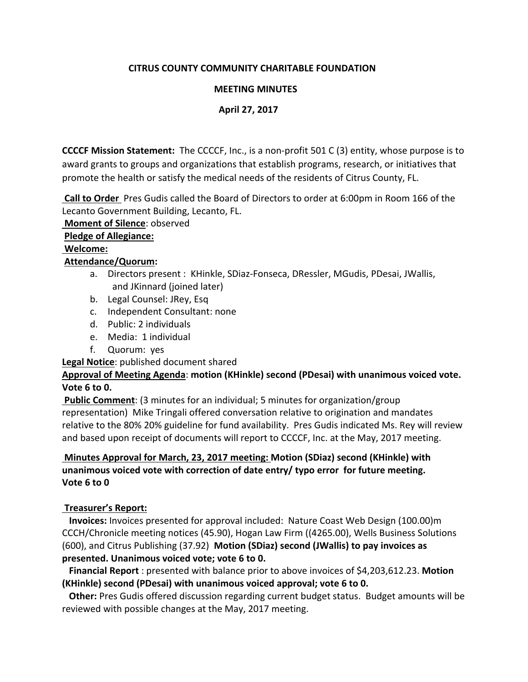# **CITRUS COUNTY COMMUNITY CHARITABLE FOUNDATION**

### **MEETING MINUTES**

## **April 27, 2017**

**CCCCF Mission Statement:** The CCCCF, Inc., is a non‐profit 501 C (3) entity, whose purpose is to award grants to groups and organizations that establish programs, research, or initiatives that promote the health or satisfy the medical needs of the residents of Citrus County, FL.

 **Call to Order**  Pres Gudis called the Board of Directors to order at 6:00pm in Room 166 of the Lecanto Government Building, Lecanto, FL.

 **Moment of Silence**: observed

#### **Pledge of Allegiance:**

## **Welcome:**

# **Attendance/Quorum:**

- a. Directors present : KHinkle, SDiaz‐Fonseca, DRessler, MGudis, PDesai, JWallis, and JKinnard (joined later)
- b. Legal Counsel: JRey, Esq
- c. Independent Consultant: none
- d. Public: 2 individuals
- e. Media: 1 individual
- f. Quorum: yes

**Legal Notice**: published document shared

# **Approval of Meeting Agenda**: **motion (KHinkle) second (PDesai) with unanimous voiced vote. Vote 6 to 0.**

 **Public Comment**: (3 minutes for an individual; 5 minutes for organization/group representation) Mike Tringali offered conversation relative to origination and mandates relative to the 80% 20% guideline for fund availability. Pres Gudis indicated Ms. Rey will review and based upon receipt of documents will report to CCCCF, Inc. at the May, 2017 meeting.

# **Minutes Approval for March, 23, 2017 meeting: Motion (SDiaz) second (KHinkle) with unanimous voiced vote with correction of date entry/ typo error for future meeting. Vote 6 to 0**

# **Treasurer's Report:**

 **Invoices:** Invoices presented for approval included: Nature Coast Web Design (100.00)m CCCH/Chronicle meeting notices (45.90), Hogan Law Firm ((4265.00), Wells Business Solutions (600), and Citrus Publishing (37.92) **Motion (SDiaz) second (JWallis) to pay invoices as presented. Unanimous voiced vote; vote 6 to 0.** 

 **Financial Report** : presented with balance prior to above invoices of \$4,203,612.23. **Motion (KHinkle) second (PDesai) with unanimous voiced approval; vote 6 to 0.** 

 **Other:** Pres Gudis offered discussion regarding current budget status. Budget amounts will be reviewed with possible changes at the May, 2017 meeting.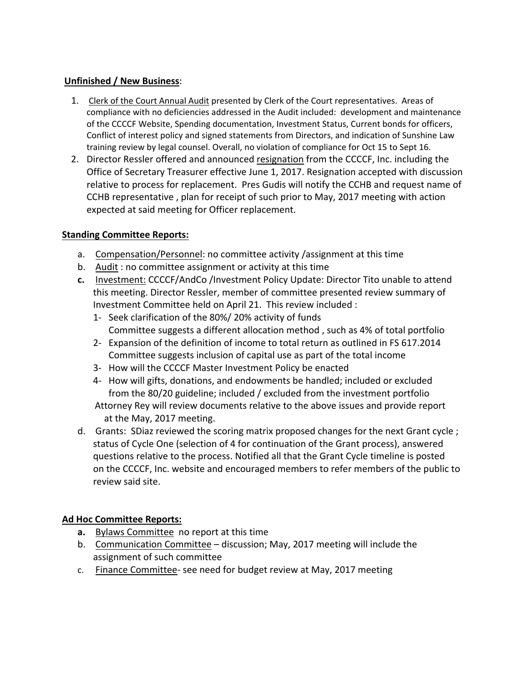# **Unfinished / New Business**:

- 1. Clerk of the Court Annual Audit presented by Clerk of the Court representatives. Areas of compliance with no deficiencies addressed in the Audit included: development and maintenance of the CCCCF Website, Spending documentation, Investment Status, Current bonds for officers, Conflict of interest policy and signed statements from Directors, and indication of Sunshine Law training review by legal counsel. Overall, no violation of compliance for Oct 15 to Sept 16.
- 2. Director Ressler offered and announced resignation from the CCCCF, Inc. including the Office of Secretary Treasurer effective June 1, 2017. Resignation accepted with discussion relative to process for replacement. Pres Gudis will notify the CCHB and request name of CCHB representative , plan for receipt of such prior to May, 2017 meeting with action expected at said meeting for Officer replacement.

# **Standing Committee Reports:**

- a. Compensation/Personnel: no committee activity /assignment at this time
- b. Audit : no committee assignment or activity at this time
- **c.** Investment: CCCCF/AndCo /Investment Policy Update: Director Tito unable to attend this meeting. Director Ressler, member of committee presented review summary of Investment Committee held on April 21.This review included :
	- 1‐ Seek clarification of the 80%/ 20% activity of funds Committee suggests a different allocation method , such as 4% of total portfolio
	- 2‐ Expansion of the definition of income to total return as outlined in FS 617.2014 Committee suggests inclusion of capital use as part of the total income
	- 3‐ How will the CCCCF Master Investment Policy be enacted
	- 4‐ How will gifts, donations, and endowments be handled; included or excluded from the 80/20 guideline; included / excluded from the investment portfolio Attorney Rey will review documents relative to the above issues and provide report

at the May, 2017 meeting.

d. Grants: SDiaz reviewed the scoring matrix proposed changes for the next Grant cycle ; status of Cycle One (selection of 4 for continuation of the Grant process), answered questions relative to the process. Notified all that the Grant Cycle timeline is posted on the CCCCF, Inc. website and encouraged members to refer members of the public to review said site.

# **Ad Hoc Committee Reports:**

- **a.** Bylaws Committee no report at this time
- b. Communication Committee discussion; May, 2017 meeting will include the assignment of such committee
- c. Finance Committee‐ see need for budget review at May, 2017 meeting